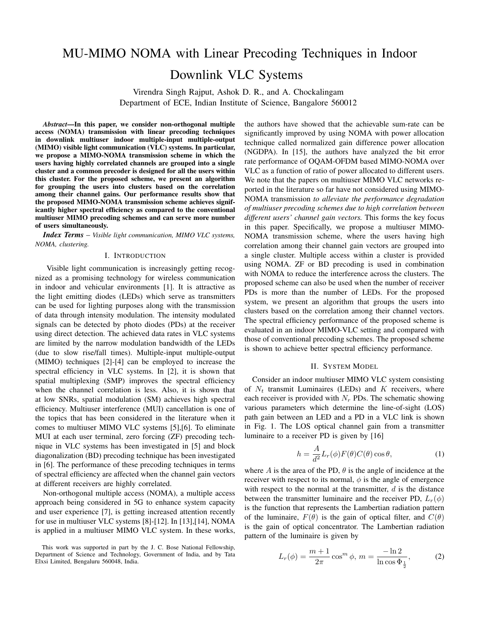## MU-MIMO NOMA with Linear Precoding Techniques in Indoor

# Downlink VLC Systems

Virendra Singh Rajput, Ashok D. R., and A. Chockalingam Department of ECE, Indian Institute of Science, Bangalore 560012

*Abstract*—In this paper, we consider non-orthogonal multiple access (NOMA) transmission with linear precoding techniques in downlink multiuser indoor multiple-input multiple-output (MIMO) visible light communication (VLC) systems. In particular, we propose a MIMO-NOMA transmission scheme in which the users having highly correlated channels are grouped into a single cluster and a common precoder is designed for all the users within this cluster. For the proposed scheme, we present an algorithm for grouping the users into clusters based on the correlation among their channel gains. Our performance results show that the proposed MIMO-NOMA transmission scheme achieves significantly higher spectral efficiency as compared to the conventional multiuser MIMO precoding schemes and can serve more number of users simultaneously.

*Index Terms* – *Visible light communication, MIMO VLC systems, NOMA, clustering.*

#### I. INTRODUCTION

Visible light communication is increasingly getting recognized as a promising technology for wireless communication in indoor and vehicular environments [1]. It is attractive as the light emitting diodes (LEDs) which serve as transmitters can be used for lighting purposes along with the transmission of data through intensity modulation. The intensity modulated signals can be detected by photo diodes (PDs) at the receiver using direct detection. The achieved data rates in VLC systems are limited by the narrow modulation bandwidth of the LEDs (due to slow rise/fall times). Multiple-input multiple-output (MIMO) techniques [2]-[4] can be employed to increase the spectral efficiency in VLC systems. In [2], it is shown that spatial multiplexing (SMP) improves the spectral efficiency when the channel correlation is less. Also, it is shown that at low SNRs, spatial modulation (SM) achieves high spectral efficiency. Multiuser interference (MUI) cancellation is one of the topics that has been considered in the literature when it comes to multiuser MIMO VLC systems [5],[6]. To eliminate MUI at each user terminal, zero forcing (ZF) precoding technique in VLC systems has been investigated in [5] and block diagonalization (BD) precoding technique has been investigated in [6]. The performance of these precoding techniques in terms of spectral efficiency are affected when the channel gain vectors at different receivers are highly correlated.

Non-orthogonal multiple access (NOMA), a multiple access approach being considered in 5G to enhance system capacity and user experience [7], is getting increased attention recently for use in multiuser VLC systems [8]-[12]. In [13],[14], NOMA is applied in a multiuser MIMO VLC system. In these works,

This work was supported in part by the J. C. Bose National Fellowship, Department of Science and Technology, Government of India, and by Tata Elxsi Limited, Bengaluru 560048, India.

the authors have showed that the achievable sum-rate can be significantly improved by using NOMA with power allocation technique called normalized gain difference power allocation (NGDPA). In [15], the authors have analyzed the bit error rate performance of OQAM-OFDM based MIMO-NOMA over VLC as a function of ratio of power allocated to different users. We note that the papers on multiuser MIMO VLC networks reported in the literature so far have not considered using MIMO-NOMA transmission *to alleviate the performance degradation of multiuser precoding schemes due to high correlation between different users' channel gain vectors.* This forms the key focus in this paper. Specifically, we propose a multiuser MIMO-NOMA transmission scheme, where the users having high correlation among their channel gain vectors are grouped into a single cluster. Multiple access within a cluster is provided using NOMA. ZF or BD precoding is used in combination with NOMA to reduce the interference across the clusters. The proposed scheme can also be used when the number of receiver PDs is more than the number of LEDs. For the proposed system, we present an algorithm that groups the users into clusters based on the correlation among their channel vectors. The spectral efficiency performance of the proposed scheme is evaluated in an indoor MIMO-VLC setting and compared with those of conventional precoding schemes. The proposed scheme is shown to achieve better spectral efficiency performance.

#### II. SYSTEM MODEL

Consider an indoor multiuser MIMO VLC system consisting of  $N_t$  transmit Luminaires (LEDs) and K receivers, where each receiver is provided with  $N_r$  PDs. The schematic showing various parameters which determine the line-of-sight (LOS) path gain between an LED and a PD in a VLC link is shown in Fig. 1. The LOS optical channel gain from a transmitter luminaire to a receiver PD is given by [16]

$$
h = \frac{A}{d^2} L_r(\phi) F(\theta) C(\theta) \cos \theta, \qquad (1)
$$

where A is the area of the PD,  $\theta$  is the angle of incidence at the receiver with respect to its normal,  $\phi$  is the angle of emergence with respect to the normal at the transmitter,  $d$  is the distance between the transmitter luminaire and the receiver PD,  $L_r(\phi)$ is the function that represents the Lambertian radiation pattern of the luminaire,  $F(\theta)$  is the gain of optical filter, and  $C(\theta)$ is the gain of optical concentrator. The Lambertian radiation pattern of the luminaire is given by

$$
L_r(\phi) = \frac{m+1}{2\pi} \cos^m \phi, \, m = \frac{-\ln 2}{\ln \cos \Phi_{\frac{1}{2}}},\tag{2}
$$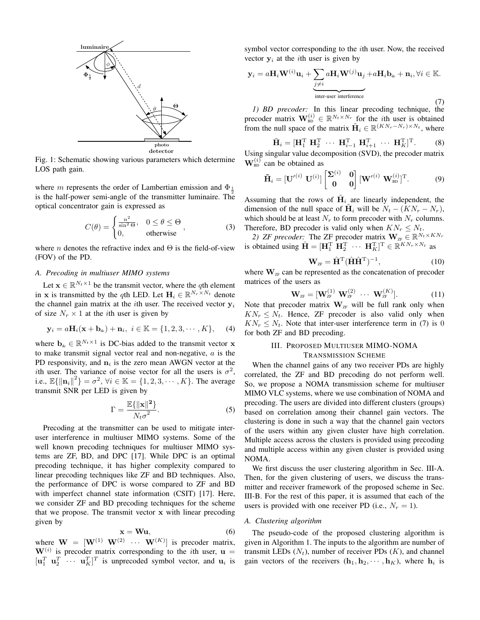

Fig. 1: Schematic showing various parameters which determine LOS path gain.

where m represents the order of Lambertian emission and  $\Phi_{\frac{1}{2}}$ is the half-power semi-angle of the transmitter luminaire. The optical concentrator gain is expressed as

$$
C(\theta) = \begin{cases} \frac{n^2}{\sin^2 \Theta}, & 0 \le \theta \le \Theta \\ 0, & \text{otherwise} \end{cases}
$$
 (3)

where *n* denotes the refractive index and  $\Theta$  is the field-of-view (FOV) of the PD.

### *A. Precoding in multiuser MIMO systems*

Let  $\mathbf{x} \in \mathbb{R}^{N_t \times 1}$  be the transmit vector, where the qth element in x is transmitted by the qth LED. Let  $\mathbf{H}_i \in \mathbb{R}^{N_r \times N_t}$  denote the channel gain matrix at the *i*th user. The received vector  $y_i$ of size  $N_r \times 1$  at the *i*th user is given by

$$
\mathbf{y}_i = a\mathbf{H}_i(\mathbf{x} + \mathbf{b}_{\text{dc}}) + \mathbf{n}_i, \ i \in \mathbb{K} = \{1, 2, 3, \cdots, K\}, \qquad (4)
$$

where  $\mathbf{b}_{\text{dc}} \in \mathbb{R}^{N_t \times 1}$  is DC-bias added to the transmit vector **x** to make transmit signal vector real and non-negative,  $a$  is the PD responsivity, and  $n_i$  is the zero mean AWGN vector at the ith user. The variance of noise vector for all the users is  $\sigma^2$ , i.e.,  $\mathbb{E}\{\|\mathbf{n}_i\|^2\} = \sigma^2$ ,  $\forall i \in \mathbb{K} = \{1, 2, 3, \cdots, K\}$ . The average transmit SNR per LED is given by

$$
\Gamma = \frac{\mathbb{E}\{\|\mathbf{x}\|^2\}}{N_t \sigma^2}.
$$
\n(5)

Precoding at the transmitter can be used to mitigate interuser interference in multiuser MIMO systems. Some of the well known precoding techniques for multiuser MIMO systems are ZF, BD, and DPC [17]. While DPC is an optimal precoding technique, it has higher complexity compared to linear precoding techniques like ZF and BD techniques. Also, the performance of DPC is worse compared to ZF and BD with imperfect channel state information (CSIT) [17]. Here, we consider ZF and BD precoding techniques for the scheme that we propose. The transmit vector x with linear precoding given by

$$
\mathbf{x} = \mathbf{W}\mathbf{u},\tag{6}
$$

where  $\mathbf{W} = [\mathbf{W}^{(1)} \ \mathbf{W}^{(2)} \ \cdots \ \mathbf{W}^{(K)}]$  is precoder matrix,  $W^{(i)}$  is precoder matrix corresponding to the *i*th user,  $u =$  $[\mathbf{u}_1^T \ \mathbf{u}_2^T \ \cdots \ \mathbf{u}_K^T]^T$  is unprecoded symbol vector, and  $\mathbf{u}_i$  is symbol vector corresponding to the ith user. Now, the received vector  $y_i$  at the *i*th user is given by

$$
\mathbf{y}_{i} = a\mathbf{H}_{i}\mathbf{W}^{(i)}\mathbf{u}_{i} + \underbrace{\sum_{j \neq i} a\mathbf{H}_{i}\mathbf{W}^{(j)}\mathbf{u}_{j}}_{\text{inter-user interference}} + \mathbf{n}_{i}, \forall i \in \mathbb{K}.
$$
\n(7)

*1) BD precoder:* In this linear precoding technique, the precoder matrix  $\mathbf{W}_{\text{BD}}^{(i)} \in \mathbb{R}^{N_t \times N_r}$  for the *i*th user is obtained from the null space of the matrix  $\tilde{\mathbf{H}}_i \in \mathbb{R}^{(KN_r-N_r)\times N_t}$ , where

$$
\widetilde{\mathbf{H}}_i = [\mathbf{H}_1^{\mathrm{T}} \ \mathbf{H}_2^{\mathrm{T}} \ \cdots \ \mathbf{H}_{i-1}^{\mathrm{T}} \ \mathbf{H}_{i+1}^{\mathrm{T}} \ \cdots \ \mathbf{H}_K^{\mathrm{T}}]^{\mathrm{T}}.
$$
 (8)

Using singular value decomposition (SVD), the precoder matrix  $\mathbf{W}_{\text{BD}}^{(i)}$  can be obtained as

$$
\tilde{\mathbf{H}}_i = [\mathbf{U}'^{(i)} \ \mathbf{U}^{(i)}] \begin{bmatrix} \Sigma^{(i)} & \mathbf{0} \\ \mathbf{0} & \mathbf{0} \end{bmatrix} [\mathbf{W}'^{(i)} \ \mathbf{W}_{\text{BD}}^{(i)}]^{\text{T}}.
$$
 (9)

Assuming that the rows of  $\tilde{H}_i$  are linearly independent, the dimension of the null space of  $\tilde{H}_i$  will be  $N_t - (KN_r - N_r)$ , which should be at least  $N_r$  to form precoder with  $N_r$  columns. Therefore, BD precoder is valid only when  $KN_r \leq N_t$ .

2) *ZF precoder:* The *ZF* precoder matrix  $\mathbf{W}_{\text{ZF}} \in \mathbb{R}^{N_t \times KN_r}$ is obtained using  $\hat{\mathbf{H}} = [\mathbf{H}_1^{\mathrm{T}} \ \mathbf{\tilde{H}}_2^{\mathrm{T}} \ \cdots \ \mathbf{H}_K^{\mathrm{T}}]^{\mathrm{T}} \in \mathbb{R}^{KN_r \times N_t}$  as

$$
\mathbf{W}_{\text{ZF}} = \hat{\mathbf{H}}^{\text{T}} (\hat{\mathbf{H}} \hat{\mathbf{H}}^{\text{T}})^{-1},\tag{10}
$$

where  $W_{ZF}$  can be represented as the concatenation of precoder matrices of the users as

$$
\mathbf{W}_{\text{ZF}} = [\mathbf{W}_{\text{ZF}}^{(1)} \ \mathbf{W}_{\text{ZF}}^{(2)} \ \cdots \ \mathbf{W}_{\text{ZF}}^{(K)}]. \tag{11}
$$

Note that precoder matrix  $W_{ZF}$  will be full rank only when  $KN_r \leq N_t$ . Hence, ZF precoder is also valid only when  $KN_r \leq N_t$ . Note that inter-user interference term in (7) is 0 for both ZF and BD precoding.

## III. PROPOSED MULTIUSER MIMO-NOMA TRANSMISSION SCHEME

When the channel gains of any two receiver PDs are highly correlated, the ZF and BD precoding do not perform well. So, we propose a NOMA transmission scheme for multiuser MIMO VLC systems, where we use combination of NOMA and precoding. The users are divided into different clusters (groups) based on correlation among their channel gain vectors. The clustering is done in such a way that the channel gain vectors of the users within any given cluster have high correlation. Multiple access across the clusters is provided using precoding and multiple access within any given cluster is provided using NOMA.

We first discuss the user clustering algorithm in Sec. III-A. Then, for the given clustering of users, we discuss the transmitter and receiver framework of the proposed scheme in Sec. III-B. For the rest of this paper, it is assumed that each of the users is provided with one receiver PD (i.e.,  $N_r = 1$ ).

### *A. Clustering algorithm*

The pseudo-code of the proposed clustering algorithm is given in Algorithm 1. The inputs to the algorithm are number of transmit LEDs  $(N_t)$ , number of receiver PDs  $(K)$ , and channel gain vectors of the receivers  $(h_1, h_2, \dots, h_K)$ , where  $h_i$  is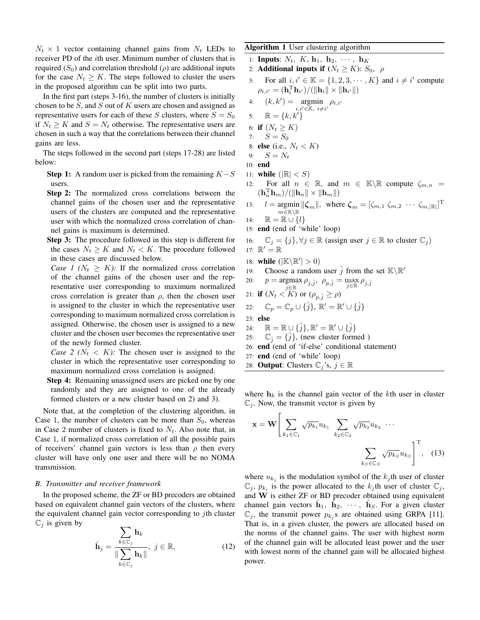$N_t \times 1$  vector containing channel gains from  $N_t$  LEDs to receiver PD of the *i*th user. Minimum number of clusters that is required  $(S_0)$  and correlation threshold  $(\rho)$  are additional inputs for the case  $N_t \geq K$ . The steps followed to cluster the users in the proposed algorithm can be split into two parts.

In the first part (steps 3-16), the number of clusters is initially chosen to be S, and S out of K users are chosen and assigned as representative users for each of these S clusters, where  $S = S_0$ if  $N_t \geq K$  and  $S = N_t$  otherwise. The representative users are chosen in such a way that the correlations between their channel gains are less.

The steps followed in the second part (steps 17-28) are listed below:

- **Step 1:** A random user is picked from the remaining  $K-S$ users.
- Step 2: The normalized cross correlations between the channel gains of the chosen user and the representative users of the clusters are computed and the representative user with which the normalized cross correlation of channel gains is maximum is determined.
- Step 3: The procedure followed in this step is different for the cases  $N_t \geq K$  and  $N_t < K$ . The procedure followed in these cases are discussed below.
- *Case 1 (* $N_t \geq K$ *):* If the normalized cross correlation of the channel gains of the chosen user and the representative user corresponding to maximum normalized cross correlation is greater than  $\rho$ , then the chosen user is assigned to the cluster in which the representative user corresponding to maximum normalized cross correlation is assigned. Otherwise, the chosen user is assigned to a new cluster and the chosen user becomes the representative user of the newly formed cluster.

*Case 2 (* $N_t < K$ *):* The chosen user is assigned to the cluster in which the representative user corresponding to maximum normalized cross correlation is assigned.

Step 4: Remaining unassigned users are picked one by one randomly and they are assigned to one of the already formed clusters or a new cluster based on 2) and 3).

Note that, at the completion of the clustering algorithm, in Case 1, the number of clusters can be more than  $S_0$ , whereas in Case 2 number of clusters is fixed to  $N_t$ . Also note that, in Case 1, if normalized cross correlation of all the possible pairs of receivers' channel gain vectors is less than  $\rho$  then every cluster will have only one user and there will be no NOMA transmission.

### *B. Transmitter and receiver framework*

In the proposed scheme, the ZF or BD precoders are obtained based on equivalent channel gain vectors of the clusters, where the equivalent channel gain vector corresponding to  $j$ th cluster  $\mathbb{C}_i$  is given by

$$
\hat{\mathbf{h}}_{j} = \frac{\sum_{k \in \mathbb{C}_{j}} \mathbf{h}_{k}}{\|\sum_{k \in \mathbb{C}_{j}} \mathbf{h}_{k}\|}, \ j \in \mathbb{R},
$$
\n(12)

Algorithm 1 User clustering algorithm

1: **Inputs:**  $N_t$ ,  $K$ ,  $\mathbf{h}_1$ ,  $\mathbf{h}_2$ ,  $\cdots$ ,  $\mathbf{h}_K$ 

- 2: **Additional inputs if**  $(N_t \geq K)$ :  $S_0$ ,  $\rho$
- 3: For all  $i, i' \in \mathbb{K} = \{1, 2, 3, \cdots, K\}$  and  $i \neq i'$  compute  $\rho_{i,i'} = (\mathbf{h}_i^{\mathrm{T}} \mathbf{h}_{i'}) / (\|\mathbf{h}_i\| \times \|\mathbf{h}_{i'}\|)$

4: 
$$
(k, k') = \operatornamewithlimits{argmin}_{i, i' \in \mathbb{K}, i \neq i'} \rho_{i, i'}
$$
\n5:  $\mathbb{R} = \{k, k'\}$ 

- 6: if  $(N_t \geq K)$
- 7:  $S = S_0$

8: **else** (i.e., 
$$
N_t < K
$$
)

9:  $S = N_t$ 

- 10: end
- 11: while  $(|\mathbb{R}| < S)$
- 12: For all  $n \in \mathbb{R}$ , and  $m \in \mathbb{K} \backslash \mathbb{R}$  compute  $\zeta_{m,n} =$  $(\mathbf{h}_n^{\mathrm{T}} \mathbf{h}_m) / (\|\mathbf{h}_n\| \times \|\mathbf{h}_m\|)$
- 13:  $l = \text{argmin} ||\boldsymbol{\zeta}_m||$ , where  $\boldsymbol{\zeta}_m = [\zeta_{m,1} \zeta_{m,2} \cdots \zeta_{m,|\mathbb{R}|}]^{\mathrm{T}}$  $m {\in} \mathbb{K} \backslash \mathbb{R}$
- 14:  $\mathbb{R} = \mathbb{R} \cup \{l\}$
- 15: end (end of 'while' loop)

16: 
$$
\mathbb{C}_j = \{j\}, \forall j \in \mathbb{R}
$$
 (assign user  $j \in \mathbb{R}$  to cluster  $\mathbb{C}_j$ )

- 17:  $\mathbb{R}' = \mathbb{R}$
- 18: while  $(|\mathbb{K}\backslash \mathbb{R}'| > 0)$
- 19: Choose a random user  $\hat{j}$  from the set  $\mathbb{K}\backslash\mathbb{R}'$
- 20:  $p = \underset{j \in \mathbb{R}}{\operatorname{argmax}} \rho_{j,\hat{j}}, \ \rho_{p,\hat{j}} = \underset{j \in \mathbb{R}}{\operatorname{max}} \rho_{j,\hat{j}}$

21: if 
$$
(N_t < K)
$$
 or  $(\rho_{p,\hat{j}} \ge \rho)$ 

22: 
$$
\mathbb{C}_p = \mathbb{C}_p \cup {\hat{j}}, \mathbb{R}' = \mathbb{R}' \cup {\hat{j}}
$$

- 23: else
- 24:  $\mathbb{R} = \mathbb{R} \cup {\hat{j}}, \mathbb{R}' = \mathbb{R}' \cup {\hat{j}}$
- 25:  $\mathbb{C}_{\hat{i}} = {\hat{j}}$ , (new cluster formed )
- 26: end (end of 'if-else' conditional statement)
- 27: end (end of 'while' loop)
- 28: **Output:** Clusters  $\mathbb{C}_i$ 's,  $j \in \mathbb{R}$

where  $h_k$  is the channel gain vector of the kth user in cluster  $\mathbb{C}_j$ . Now, the transmit vector is given by

$$
\mathbf{x} = \mathbf{W} \Bigg[ \sum_{k_1 \in \mathbb{C}_1} \sqrt{p_{k_1}} u_{k_1} \sum_{k_2 \in \mathbb{C}_2} \sqrt{p_{k_2}} u_{k_2} \cdots \Bigg]
$$

$$
\sum_{k_S \in \mathbb{C}_S} \sqrt{p_{k_S}} u_{k_S} \Bigg]^{\mathrm{T}}, \quad (13)
$$

where  $u_{k_j}$  is the modulation symbol of the  $k_j$ th user of cluster  $\mathbb{C}_j$ ,  $p_{k_i}$  is the power allocated to the  $k_j$ th user of cluster  $\mathbb{C}_j$ , and W is either ZF or BD precoder obtained using equivalent channel gain vectors  $\hat{\mathbf{h}}_1$ ,  $\hat{\mathbf{h}}_2$ ,  $\cdots$ ,  $\hat{\mathbf{h}}_S$ . For a given cluster  $\mathbb{C}_j$ , the transmit power  $p_{k_j}$ s are obtained using GRPA [11]. That is, in a given cluster, the powers are allocated based on the norms of the channel gains. The user with highest norm of the channel gain will be allocated least power and the user with lowest norm of the channel gain will be allocated highest power.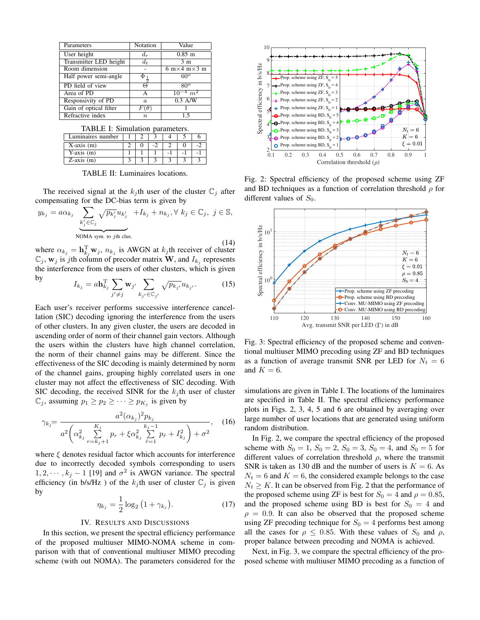| Parameters             | Notation         | Value                                               |  |  |
|------------------------|------------------|-----------------------------------------------------|--|--|
| User height            | $d_r$            | $0.85$ m                                            |  |  |
| Transmitter LED height | $d_t$            | 3 <sub>m</sub>                                      |  |  |
| Room dimension         |                  | $6 \text{ m} \times 4 \text{ m} \times 3 \text{ m}$ |  |  |
| Half power semi-angle  | $\Phi_1$         | 60 <sup>o</sup>                                     |  |  |
| PD field of view       | $\Theta$         | $80^\circ$                                          |  |  |
| Area of PD             | А                | $10^{-4}$ $m^2$                                     |  |  |
| Responsivity of PD     | $\alpha$         | $\overline{0.3}$ A/W                                |  |  |
| Gain of optical filter |                  |                                                     |  |  |
| Refractive index       | $\boldsymbol{n}$ |                                                     |  |  |

TABLE I: Simulation parameters.

| Luminaires number |  |  |  |
|-------------------|--|--|--|
| X-axis (m)        |  |  |  |
| Y-axis $(m)$      |  |  |  |
| Z-axis (m)        |  |  |  |

TABLE II: Luminaires locations.

The received signal at the  $k_j$ th user of the cluster  $\mathbb{C}_j$  after compensating for the DC-bias term is given by

$$
y_{k_j} = a\alpha_{k_j} \underbrace{\sum_{k'_j \in \mathbb{C}_j} \sqrt{p_{k'_j}} u_{k'_j}}_{\text{NOMA sym. to } j\text{th clus.}} + I_{k_j} + n_{k_j}, \forall k_j \in \mathbb{C}_j, j \in \mathbb{S},
$$

(14) where  $\alpha_{k_j} = \mathbf{h}_{k_j}^{\mathrm{T}} \mathbf{w}_j$ ,  $n_{k_j}$  is AWGN at  $k_j$ th receiver of cluster  $\mathbb{C}_j$ ,  $\mathbf{w}_j$  is jth column of precoder matrix  $\mathbf{\dot{W}}$ , and  $I_{k_j}$  represents the interference from the users of other clusters, which is given by

$$
I_{k_j} = a \mathbf{h}_{k_j}^{\mathrm{T}} \sum_{j' \neq j} \mathbf{w}_{j'} \sum_{k_{j'} \in \mathbb{C}_{j'}} \sqrt{p_{k_{j'}}} u_{k_{j'}}.
$$
 (15)

Each user's receiver performs successive interference cancellation (SIC) decoding ignoring the interference from the users of other clusters. In any given cluster, the users are decoded in ascending order of norm of their channel gain vectors. Although the users within the clusters have high channel correlation, the norm of their channel gains may be different. Since the effectiveness of the SIC decoding is mainly determined by norm of the channel gains, grouping highly correlated users in one cluster may not affect the effectiveness of SIC decoding. With SIC decoding, the received SINR for the  $k_j$ th user of cluster  $\mathbb{C}_j$ , assuming  $p_1 \geq p_2 \geq \cdots \geq p_{K_j}$  is given by

$$
\gamma_{k_j} = \frac{a^2 (\alpha_{k_j})^2 p_{k_j}}{a^2 \left(\alpha_{k_j}^2 \sum_{r=k_j+1}^{K_j} p_r + \xi \alpha_{k_j}^2 \sum_{\hat{r}=1}^{k_j-1} p_{\hat{r}} + I_{k_j}^2\right) + \sigma^2},
$$
 (16)

where  $\xi$  denotes residual factor which accounts for interference due to incorrectly decoded symbols corresponding to users  $1, 2, \dots, k_j - 1$  [19] and  $\sigma^2$  is AWGN variance. The spectral efficiency (in b/s/Hz) of the  $k_j$ th user of cluster  $\mathbb{C}_j$  is given by

$$
\eta_{k_j} = \frac{1}{2} \log_2 (1 + \gamma_{k_j}). \tag{17}
$$

### IV. RESULTS AND DISCUSSIONS

In this section, we present the spectral efficiency performance of the proposed multiuser MIMO-NOMA scheme in comparison with that of conventional multiuser MIMO precoding scheme (with out NOMA). The parameters considered for the



Fig. 2: Spectral efficiency of the proposed scheme using ZF and BD techniques as a function of correlation threshold  $\rho$  for different values of  $S_0$ .



Fig. 3: Spectral efficiency of the proposed scheme and conventional multiuser MIMO precoding using ZF and BD techniques as a function of average transmit SNR per LED for  $N_t = 6$ and  $K = 6$ .

simulations are given in Table I. The locations of the luminaires are specified in Table II. The spectral efficiency performance plots in Figs. 2, 3, 4, 5 and 6 are obtained by averaging over large number of user locations that are generated using uniform random distribution.

In Fig. 2, we compare the spectral efficiency of the proposed scheme with  $S_0 = 1$ ,  $S_0 = 2$ ,  $S_0 = 3$ ,  $S_0 = 4$ , and  $S_0 = 5$  for different values of correlation threshold  $\rho$ , where the transmit SNR is taken as 130 dB and the number of users is  $K = 6$ . As  $N_t = 6$  and  $K = 6$ , the considered example belongs to the case  $N_t \geq K$ . It can be observed from Fig. 2 that the performance of the proposed scheme using ZF is best for  $S_0 = 4$  and  $\rho = 0.85$ , and the proposed scheme using BD is best for  $S_0 = 4$  and  $\rho = 0.9$ . It can also be observed that the proposed scheme using ZF precoding technique for  $S_0 = 4$  performs best among all the cases for  $\rho \leq 0.85$ . With these values of  $S_0$  and  $\rho$ , proper balance between precoding and NOMA is achieved.

Next, in Fig. 3, we compare the spectral efficiency of the proposed scheme with multiuser MIMO precoding as a function of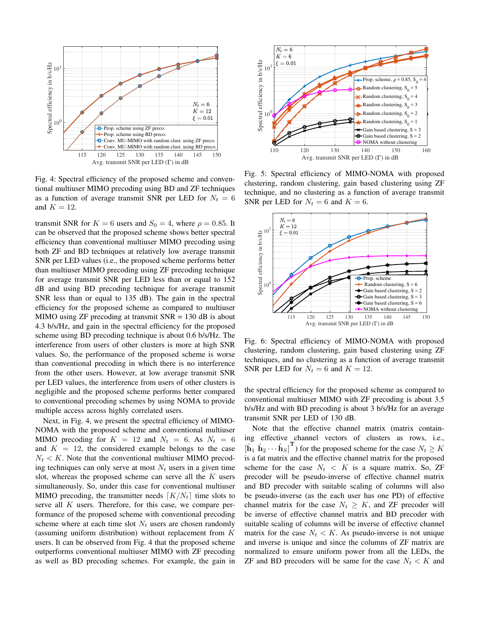

Fig. 4: Spectral efficiency of the proposed scheme and conventional multiuser MIMO precoding using BD and ZF techniques as a function of average transmit SNR per LED for  $N_t = 6$ and  $K = 12$ .

transmit SNR for  $K = 6$  users and  $S_0 = 4$ , where  $\rho = 0.85$ . It can be observed that the proposed scheme shows better spectral efficiency than conventional multiuser MIMO precoding using both ZF and BD techniques at relatively low average transmit SNR per LED values (i.e., the proposed scheme performs better than multiuser MIMO precoding using ZF precoding technique for average transmit SNR per LED less than or equal to 152 dB and using BD precoding technique for average transmit SNR less than or equal to 135 dB). The gain in the spectral efficiency for the proposed scheme as compared to multiuser MIMO using  $ZF$  precoding at transmit  $SNR = 130$  dB is about 4.3 b/s/Hz, and gain in the spectral efficiency for the proposed scheme using BD precoding technique is about 0.6 b/s/Hz. The interference from users of other clusters is more at high SNR values. So, the performance of the proposed scheme is worse than conventional precoding in which there is no interference from the other users. However, at low average transmit SNR per LED values, the interference from users of other clusters is negligible and the proposed scheme performs better compared to conventional precoding schemes by using NOMA to provide multiple access across highly correlated users.

Next, in Fig. 4, we present the spectral efficiency of MIMO-NOMA with the proposed scheme and conventional multiuser MIMO precoding for  $K = 12$  and  $N_t = 6$ . As  $N_t = 6$ and  $K = 12$ , the considered example belongs to the case  $N_t < K$ . Note that the conventional multiuser MIMO precoding techniques can only serve at most  $N_t$  users in a given time slot, whereas the proposed scheme can serve all the  $K$  users simultaneously. So, under this case for conventional multiuser MIMO precoding, the transmitter needs  $\lceil K/N_t \rceil$  time slots to serve all  $K$  users. Therefore, for this case, we compare performance of the proposed scheme with conventional precoding scheme where at each time slot  $N_t$  users are chosen randomly (assuming uniform distribution) without replacement from K users. It can be observed from Fig. 4 that the proposed scheme outperforms conventional multiuser MIMO with ZF precoding as well as BD precoding schemes. For example, the gain in



Fig. 5: Spectral efficiency of MIMO-NOMA with proposed clustering, random clustering, gain based clustering using ZF technique, and no clustering as a function of average transmit SNR per LED for  $N_t = 6$  and  $K = 6$ .



Fig. 6: Spectral efficiency of MIMO-NOMA with proposed clustering, random clustering, gain based clustering using ZF techniques, and no clustering as a function of average transmit SNR per LED for  $N_t = 6$  and  $K = 12$ .

the spectral efficiency for the proposed scheme as compared to conventional multiuser MIMO with ZF precoding is about 3.5 b/s/Hz and with BD precoding is about 3 b/s/Hz for an average transmit SNR per LED of 130 dB.

Note that the effective channel matrix (matrix containing effective channel vectors of clusters as rows, i.e.,  $[\hat{h}_1 \ \hat{h}_2 \cdots \hat{h}_S]^T$  for the proposed scheme for the case  $N_t \ge K$ is a fat matrix and the effective channel matrix for the proposed scheme for the case  $N_t < K$  is a square matrix. So, ZF precoder will be pseudo-inverse of effective channel matrix and BD precoder with suitable scaling of columns will also be pseudo-inverse (as the each user has one PD) of effective channel matrix for the case  $N_t \geq K$ , and ZF precoder will be inverse of effective channel matrix and BD precoder with suitable scaling of columns will be inverse of effective channel matrix for the case  $N_t < K$ . As pseudo-inverse is not unique and inverse is unique and since the columns of ZF matrix are normalized to ensure uniform power from all the LEDs, the ZF and BD precoders will be same for the case  $N_t < K$  and